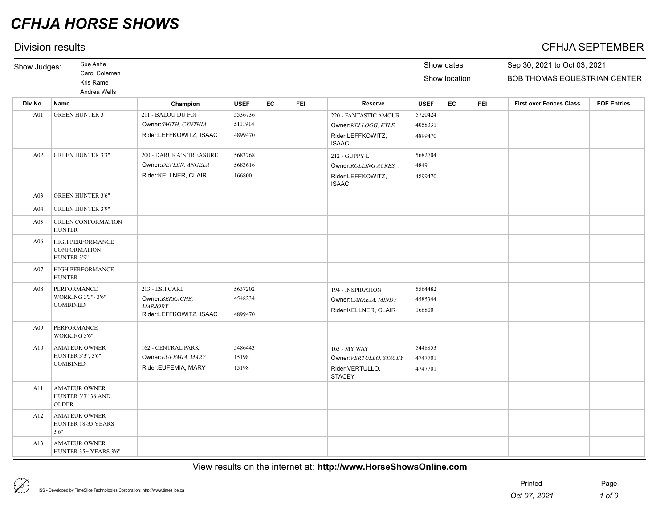## Division results CFHJA SEPTEMBER

| Show Judges: | Sue Ashe                                                   |                                           |             |    |            |                                   |             | Show dates    |            | Sep 30, 2021 to Oct 03, 2021   |                    |
|--------------|------------------------------------------------------------|-------------------------------------------|-------------|----|------------|-----------------------------------|-------------|---------------|------------|--------------------------------|--------------------|
|              | Carol Coleman                                              |                                           |             |    |            |                                   |             | Show location |            | BOB THOMAS EQUESTRIAN CENTER   |                    |
|              | Kris Rame<br>Andrea Wells                                  |                                           |             |    |            |                                   |             |               |            |                                |                    |
| Div No.      | Name                                                       | Champion                                  | <b>USEF</b> | EC | <b>FEI</b> | Reserve                           | <b>USEF</b> | EC            | <b>FEI</b> | <b>First over Fences Class</b> | <b>FOF Entries</b> |
| A01          | <b>GREEN HUNTER 3'</b>                                     | 211 - BALOU DU FOI                        | 5536736     |    |            | 220 - FANTASTIC AMOUR             | 5720424     |               |            |                                |                    |
|              |                                                            | Owner:SMITH, CYNTHIA                      | 5111914     |    |            | Owner:KELLOGG, KYLE               | 4058331     |               |            |                                |                    |
|              |                                                            | Rider:LEFFKOWITZ, ISAAC                   | 4899470     |    |            | Rider:LEFFKOWITZ,<br><b>ISAAC</b> | 4899470     |               |            |                                |                    |
| A02          | <b>GREEN HUNTER 3'3"</b>                                   | 200 - DARUKA'S TREASURE                   | 5683768     |    |            | 212 - GUPPY L                     | 5682704     |               |            |                                |                    |
|              |                                                            | Owner: DEVLEN, ANGELA                     | 5683616     |    |            | Owner: ROLLING ACRES, .           | 4849        |               |            |                                |                    |
|              |                                                            | Rider:KELLNER, CLAIR                      | 166800      |    |            | Rider:LEFFKOWITZ,<br><b>ISAAC</b> | 4899470     |               |            |                                |                    |
| A03          | <b>GREEN HUNTER 3'6"</b>                                   |                                           |             |    |            |                                   |             |               |            |                                |                    |
| A04          | <b>GREEN HUNTER 3'9"</b>                                   |                                           |             |    |            |                                   |             |               |            |                                |                    |
| A05          | <b>GREEN CONFORMATION</b><br><b>HUNTER</b>                 |                                           |             |    |            |                                   |             |               |            |                                |                    |
| A06          | HIGH PERFORMANCE<br>CONFORMATION<br>HUNTER 3'9"            |                                           |             |    |            |                                   |             |               |            |                                |                    |
| A07          | HIGH PERFORMANCE<br><b>HUNTER</b>                          |                                           |             |    |            |                                   |             |               |            |                                |                    |
| A08          | PERFORMANCE                                                | 213 - ESH CARL                            | 5637202     |    |            | 194 - INSPIRATION                 | 5564482     |               |            |                                |                    |
|              | WORKING 3'3"-3'6"                                          | Owner: BERKACHE,                          | 4548234     |    |            | Owner: CARREJA, MINDY             | 4585344     |               |            |                                |                    |
|              | <b>COMBINED</b>                                            | <b>MARJORY</b><br>Rider:LEFFKOWITZ, ISAAC | 4899470     |    |            | Rider:KELLNER, CLAIR              | 166800      |               |            |                                |                    |
| A09          | <b>PERFORMANCE</b><br>WORKING 3'6"                         |                                           |             |    |            |                                   |             |               |            |                                |                    |
| A10          | <b>AMATEUR OWNER</b>                                       | 162 - CENTRAL PARK                        | 5486443     |    |            | 163 - MY WAY                      | 5448853     |               |            |                                |                    |
|              | HUNTER 3'3", 3'6"                                          | Owner: EUFEMIA, MARY                      | 15198       |    |            | Owner: VERTULLO, STACEY           | 4747701     |               |            |                                |                    |
|              | <b>COMBINED</b>                                            | Rider:EUFEMIA, MARY                       | 15198       |    |            | Rider:VERTULLO,<br><b>STACEY</b>  | 4747701     |               |            |                                |                    |
| A11          | <b>AMATEUR OWNER</b><br>HUNTER 3'3" 36 AND<br><b>OLDER</b> |                                           |             |    |            |                                   |             |               |            |                                |                    |
| A12          | <b>AMATEUR OWNER</b><br>HUNTER 18-35 YEARS<br>3'6''        |                                           |             |    |            |                                   |             |               |            |                                |                    |
| A13          | <b>AMATEUR OWNER</b><br>HUNTER 35+ YEARS 3'6"              |                                           |             |    |            |                                   |             |               |            |                                |                    |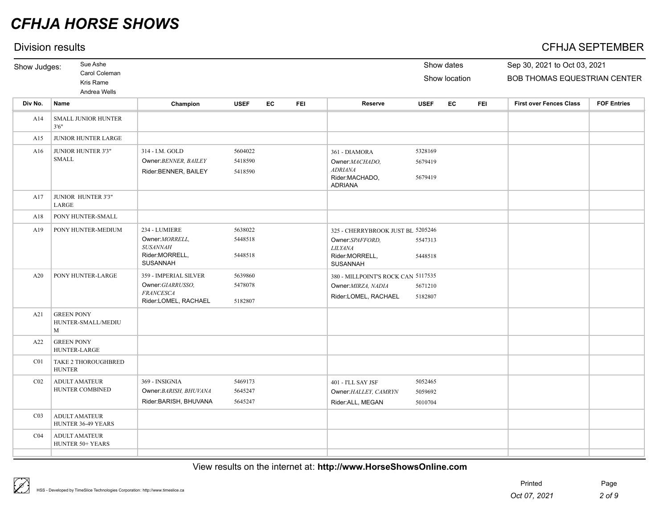## Division results CFHJA SEPTEMBER

| Show Judges:    | Sue Ashe                                     |                                                                                          |                               |           |            |                                                                                                             |                               | Show dates    |            | Sep 30, 2021 to Oct 03, 2021   |                    |
|-----------------|----------------------------------------------|------------------------------------------------------------------------------------------|-------------------------------|-----------|------------|-------------------------------------------------------------------------------------------------------------|-------------------------------|---------------|------------|--------------------------------|--------------------|
|                 | Carol Coleman<br>Kris Rame<br>Andrea Wells   |                                                                                          |                               |           |            |                                                                                                             |                               | Show location |            | BOB THOMAS EQUESTRIAN CENTER   |                    |
| Div No.         | Name                                         | Champion                                                                                 | <b>USEF</b>                   | <b>EC</b> | <b>FEI</b> | <b>Reserve</b>                                                                                              | <b>USEF</b>                   | EC            | <b>FEI</b> | <b>First over Fences Class</b> | <b>FOF Entries</b> |
| A14             | SMALL JUNIOR HUNTER<br>3'6''                 |                                                                                          |                               |           |            |                                                                                                             |                               |               |            |                                |                    |
| A15             | JUNIOR HUNTER LARGE                          |                                                                                          |                               |           |            |                                                                                                             |                               |               |            |                                |                    |
| A16             | JUNIOR HUNTER 3'3"<br><b>SMALL</b>           | 314 - I.M. GOLD<br>Owner: BENNER, BAILEY<br>Rider:BENNER, BAILEY                         | 5604022<br>5418590<br>5418590 |           |            | 361 - DIAMORA<br>Owner:MACHADO,<br><b>ADRIANA</b><br>Rider:MACHADO,<br><b>ADRIANA</b>                       | 5328169<br>5679419<br>5679419 |               |            |                                |                    |
| A17             | JUNIOR HUNTER 3'3"<br>LARGE                  |                                                                                          |                               |           |            |                                                                                                             |                               |               |            |                                |                    |
| A18             | PONY HUNTER-SMALL                            |                                                                                          |                               |           |            |                                                                                                             |                               |               |            |                                |                    |
| A19             | PONY HUNTER-MEDIUM                           | 234 - LUMIERE<br>Owner: MORRELL,<br><b>SUSANNAH</b><br>Rider:MORRELL,<br><b>SUSANNAH</b> | 5638022<br>5448518<br>5448518 |           |            | 325 - CHERRYBROOK JUST BL 5205246<br>Owner:SPAFFORD,<br><b>LILYANA</b><br>Rider:MORRELL,<br><b>SUSANNAH</b> | 5547313<br>5448518            |               |            |                                |                    |
| A20             | PONY HUNTER-LARGE                            | 359 - IMPERIAL SILVER<br>Owner:GIARRUSSO,<br><b>FRANCESCA</b><br>Rider:LOMEL, RACHAEL    | 5639860<br>5478078<br>5182807 |           |            | 380 - MILLPOINT'S ROCK CAN 5117535<br>Owner: MIRZA, NADIA<br>Rider:LOMEL, RACHAEL                           | 5671210<br>5182807            |               |            |                                |                    |
| A21             | <b>GREEN PONY</b><br>HUNTER-SMALL/MEDIU<br>M |                                                                                          |                               |           |            |                                                                                                             |                               |               |            |                                |                    |
| A22             | <b>GREEN PONY</b><br>HUNTER-LARGE            |                                                                                          |                               |           |            |                                                                                                             |                               |               |            |                                |                    |
| C <sub>01</sub> | TAKE 2 THOROUGHBRED<br><b>HUNTER</b>         |                                                                                          |                               |           |            |                                                                                                             |                               |               |            |                                |                    |
| CO <sub>2</sub> | <b>ADULT AMATEUR</b><br>HUNTER COMBINED      | 369 - INSIGNIA<br>Owner: BARISH, BHUVANA<br>Rider: BARISH, BHUVANA                       | 5469173<br>5645247<br>5645247 |           |            | 401 - I'LL SAY JSF<br>Owner: HALLEY, CAMRYN<br>Rider:ALL, MEGAN                                             | 5052465<br>5059692<br>5010704 |               |            |                                |                    |
| CO <sub>3</sub> | <b>ADULT AMATEUR</b><br>HUNTER 36-49 YEARS   |                                                                                          |                               |           |            |                                                                                                             |                               |               |            |                                |                    |
| CO <sub>4</sub> | <b>ADULT AMATEUR</b><br>HUNTER 50+ YEARS     |                                                                                          |                               |           |            |                                                                                                             |                               |               |            |                                |                    |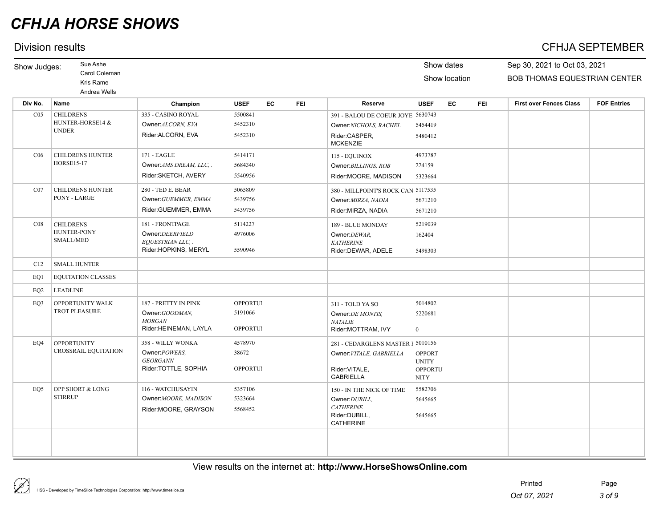## Division results CFHJA SEPTEMBER

| Show Judges:    | Sue Ashe                                                   |                                                                                 |                                        |    |            |                                                                                                      |                                                                | Show dates    |            | Sep 30, 2021 to Oct 03, 2021   |                    |  |  |
|-----------------|------------------------------------------------------------|---------------------------------------------------------------------------------|----------------------------------------|----|------------|------------------------------------------------------------------------------------------------------|----------------------------------------------------------------|---------------|------------|--------------------------------|--------------------|--|--|
|                 | Carol Coleman<br>Kris Rame<br>Andrea Wells                 |                                                                                 |                                        |    |            |                                                                                                      |                                                                | Show location |            | BOB THOMAS EQUESTRIAN CENTER   |                    |  |  |
| Div No.         | Name                                                       | Champion                                                                        | <b>USEF</b>                            | EC | <b>FEI</b> | Reserve                                                                                              | <b>USEF</b>                                                    | <b>EC</b>     | <b>FEI</b> | <b>First over Fences Class</b> | <b>FOF Entries</b> |  |  |
| CO <sub>5</sub> | <b>CHILDRENS</b><br>HUNTER-HORSE14 &<br><b>UNDER</b>       | 335 - CASINO ROYAL<br>Owner: ALCORN, EVA<br>Rider:ALCORN, EVA                   | 5500841<br>5452310<br>5452310          |    |            | 391 - BALOU DE COEUR JOYE 5630743<br>Owner:NICHOLS, RACHEL<br>Rider:CASPER,<br><b>MCKENZIE</b>       | 5454419<br>5480412                                             |               |            |                                |                    |  |  |
| C <sub>06</sub> | <b>CHILDRENS HUNTER</b><br><b>HORSE15-17</b>               | 171 - EAGLE<br>Owner: AMS DREAM, LLC<br>Rider:SKETCH, AVERY                     | 5414171<br>5684340<br>5540956          |    |            | 115 - EQUINOX<br>Owner: BILLINGS, ROB<br>Rider: MOORE, MADISON                                       | 4973787<br>224159<br>5323664                                   |               |            |                                |                    |  |  |
| CO7             | <b>CHILDRENS HUNTER</b><br>PONY - LARGE                    | 280 - TED E. BEAR<br>Owner: GUEMMER, EMMA<br>Rider:GUEMMER, EMMA                | 5065809<br>5439756<br>5439756          |    |            | 380 - MILLPOINT'S ROCK CAN 5117535<br>Owner: MIRZA, NADIA<br>Rider: MIRZA, NADIA                     | 5671210<br>5671210                                             |               |            |                                |                    |  |  |
| CO8             | <b>CHILDRENS</b><br><b>HUNTER-PONY</b><br><b>SMALL/MED</b> | 181 - FRONTPAGE<br>Owner:DEERFIELD<br>EQUESTRIAN LLC, .<br>Rider:HOPKINS, MERYL | 5114227<br>4976006<br>5590946          |    |            | 189 - BLUE MONDAY<br>Owner:DEWAR,<br><b>KATHERINE</b><br>Rider:DEWAR, ADELE                          | 5219039<br>162404<br>5498303                                   |               |            |                                |                    |  |  |
| C12             | <b>SMALL HUNTER</b>                                        |                                                                                 |                                        |    |            |                                                                                                      |                                                                |               |            |                                |                    |  |  |
| EO1             | <b>EQUITATION CLASSES</b>                                  |                                                                                 |                                        |    |            |                                                                                                      |                                                                |               |            |                                |                    |  |  |
| EQ <sub>2</sub> | <b>LEADLINE</b>                                            |                                                                                 |                                        |    |            |                                                                                                      |                                                                |               |            |                                |                    |  |  |
| EO3             | OPPORTUNITY WALK<br>TROT PLEASURE                          | 187 - PRETTY IN PINK<br>Owner:GOODMAN,<br>$MORGAN$<br>Rider:HEINEMAN, LAYLA     | OPPORTUI<br>5191066<br><b>OPPORTUI</b> |    |            | 311 - TOLD YA SO<br>Owner: DE MONTIS,<br><b>NATALIE</b><br>Rider: MOTTRAM, IVY                       | 5014802<br>5220681<br>$\mathbf{0}$                             |               |            |                                |                    |  |  |
| EO4             | <b>OPPORTUNITY</b><br><b>CROSSRAIL EQUITATION</b>          | 358 - WILLY WONKA<br>Owner: POWERS,<br><b>GEORGANN</b><br>Rider:TOTTLE, SOPHIA  | 4578970<br>38672<br><b>OPPORTUI</b>    |    |            | 281 - CEDARGLENS MASTER F 5010156<br>Owner: VITALE, GABRIELLA<br>Rider: VITALE,<br><b>GABRIELLA</b>  | <b>OPPORT</b><br><b>UNITY</b><br><b>OPPORTU</b><br><b>NITY</b> |               |            |                                |                    |  |  |
| EO <sub>5</sub> | OPP SHORT & LONG<br><b>STIRRUP</b>                         | 116 - WATCHUSAYIN<br>Owner: MOORE, MADISON<br>Rider:MOORE, GRAYSON              | 5357106<br>5323664<br>5568452          |    |            | 150 - IN THE NICK OF TIME<br>Owner: DUBILL,<br><b>CATHERINE</b><br>Rider:DUBILL,<br><b>CATHERINE</b> | 5582706<br>5645665<br>5645665                                  |               |            |                                |                    |  |  |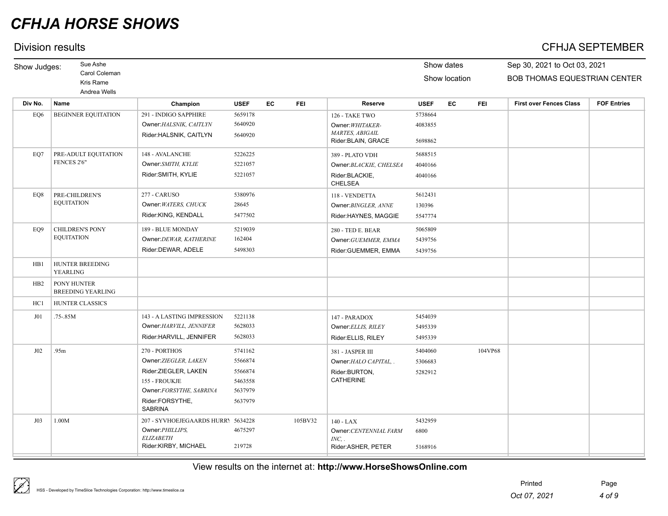## Division results CFHJA SEPTEMBER

| Show Judges:    | Sue Ashe                                  |                                    |             |    |            |                                               |             | Show dates    |            | Sep 30, 2021 to Oct 03, 2021        |                    |
|-----------------|-------------------------------------------|------------------------------------|-------------|----|------------|-----------------------------------------------|-------------|---------------|------------|-------------------------------------|--------------------|
|                 | Carol Coleman                             |                                    |             |    |            |                                               |             | Show location |            | <b>BOB THOMAS EQUESTRIAN CENTER</b> |                    |
|                 | Kris Rame                                 |                                    |             |    |            |                                               |             |               |            |                                     |                    |
|                 | Andrea Wells                              |                                    |             |    |            |                                               |             |               |            |                                     |                    |
| Div No.         | Name                                      | Champion                           | <b>USEF</b> | EC | <b>FEI</b> | <b>Reserve</b>                                | <b>USEF</b> | EC            | <b>FEI</b> | <b>First over Fences Class</b>      | <b>FOF Entries</b> |
| EQ6             | <b>BEGINNER EQUITATION</b>                | 291 - INDIGO SAPPHIRE              | 5659178     |    |            | 126 - TAKE TWO                                | 5738664     |               |            |                                     |                    |
|                 |                                           | Owner: HALSNIK, CAITLYN            | 5640920     |    |            | Owner: WHITAKER-                              | 4083855     |               |            |                                     |                    |
|                 |                                           | Rider:HALSNIK, CAITLYN             | 5640920     |    |            | <b>MARTES, ABIGAIL</b><br>Rider: BLAIN, GRACE | 5698862     |               |            |                                     |                    |
| EQ7             | PRE-ADULT EQUITATION                      | 148 - AVALANCHE                    | 5226225     |    |            | 389 - PLATO VDH                               | 5688515     |               |            |                                     |                    |
|                 | FENCES 2'6"                               | Owner:SMITH, KYLIE                 | 5221057     |    |            | Owner: BLACKIE, CHELSEA                       | 4040166     |               |            |                                     |                    |
|                 |                                           | Rider: SMITH, KYLIE                | 5221057     |    |            | Rider:BLACKIE,<br><b>CHELSEA</b>              | 4040166     |               |            |                                     |                    |
| EO <sub>8</sub> | PRE-CHILDREN'S                            | 277 - CARUSO                       | 5380976     |    |            | 118 - VENDETTA                                | 5612431     |               |            |                                     |                    |
|                 | <b>EQUITATION</b>                         | Owner: WATERS, CHUCK               | 28645       |    |            | Owner: BINGLER, ANNE                          | 130396      |               |            |                                     |                    |
|                 |                                           | Rider:KING, KENDALL                | 5477502     |    |            | Rider:HAYNES, MAGGIE                          | 5547774     |               |            |                                     |                    |
| EO <sub>9</sub> | <b>CHILDREN'S PONY</b>                    | 189 - BLUE MONDAY                  | 5219039     |    |            | 280 - TED E. BEAR                             | 5065809     |               |            |                                     |                    |
|                 | <b>EQUITATION</b>                         | Owner:DEWAR, KATHERINE             | 162404      |    |            | Owner: GUEMMER, EMMA                          | 5439756     |               |            |                                     |                    |
|                 |                                           | Rider:DEWAR, ADELE                 | 5498303     |    |            | Rider:GUEMMER, EMMA                           | 5439756     |               |            |                                     |                    |
| H <sub>B1</sub> | <b>HUNTER BREEDING</b><br><b>YEARLING</b> |                                    |             |    |            |                                               |             |               |            |                                     |                    |
| HB <sub>2</sub> | PONY HUNTER<br><b>BREEDING YEARLING</b>   |                                    |             |    |            |                                               |             |               |            |                                     |                    |
| HC1             | HUNTER CLASSICS                           |                                    |             |    |            |                                               |             |               |            |                                     |                    |
| J01             | .75-.85M                                  | 143 - A LASTING IMPRESSION         | 5221138     |    |            | 147 - PARADOX                                 | 5454039     |               |            |                                     |                    |
|                 |                                           | Owner: HARVILL, JENNIFER           | 5628033     |    |            | Owner: ELLIS, RILEY                           | 5495339     |               |            |                                     |                    |
|                 |                                           | Rider:HARVILL, JENNIFER            | 5628033     |    |            | Rider:ELLIS, RILEY                            | 5495339     |               |            |                                     |                    |
| J02             | .95m                                      | 270 - PORTHOS                      | 5741162     |    |            | 381 - JASPER III                              | 5404060     |               | 104VP68    |                                     |                    |
|                 |                                           | Owner: ZIEGLER, LAKEN              | 5566874     |    |            | Owner: HALO CAPITAL, .                        | 5306683     |               |            |                                     |                    |
|                 |                                           | Rider:ZIEGLER, LAKEN               | 5566874     |    |            | Rider:BURTON,                                 | 5282912     |               |            |                                     |                    |
|                 |                                           | 155 - FROUKJE                      | 5463558     |    |            | <b>CATHERINE</b>                              |             |               |            |                                     |                    |
|                 |                                           | Owner:FORSYTHE, SABRINA            | 5637979     |    |            |                                               |             |               |            |                                     |                    |
|                 |                                           | Rider:FORSYTHE,<br><b>SABRINA</b>  | 5637979     |    |            |                                               |             |               |            |                                     |                    |
| J03             | 1.00M                                     | 207 - SYVHOEJEGAARDS HURRY 5634228 |             |    | 105BV32    | $140 - LAX$                                   | 5432959     |               |            |                                     |                    |
|                 |                                           | Owner: PHILLIPS,                   | 4675297     |    |            | Owner: CENTENNIAL FARM                        | 6800        |               |            |                                     |                    |
|                 |                                           | <b>ELIZABETH</b>                   |             |    |            | INC, .                                        |             |               |            |                                     |                    |
|                 |                                           | Rider:KIRBY, MICHAEL               | 219728      |    |            | Rider:ASHER, PETER                            | 5168916     |               |            |                                     |                    |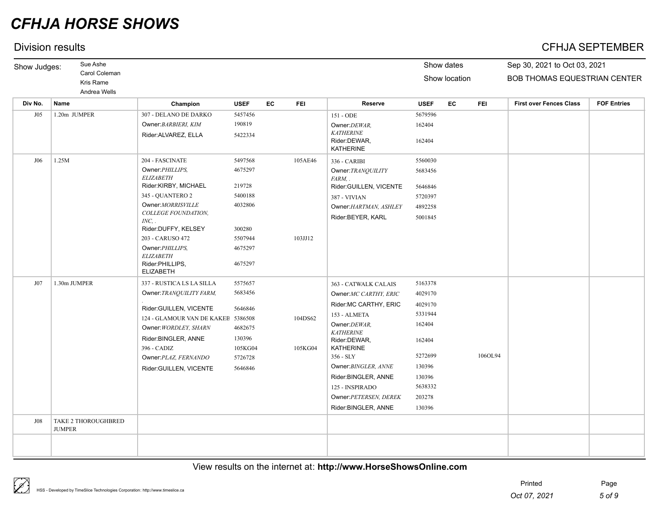## Division results CFHJA SEPTEMBER

| Show Judges: | Sue Ashe                                   |                                                                             |                    |    |            |                                                      | Show dates         |    |            | Sep 30, 2021 to Oct 03, 2021        |                    |  |
|--------------|--------------------------------------------|-----------------------------------------------------------------------------|--------------------|----|------------|------------------------------------------------------|--------------------|----|------------|-------------------------------------|--------------------|--|
|              | Carol Coleman<br>Kris Rame<br>Andrea Wells |                                                                             |                    |    |            |                                                      | Show location      |    |            | <b>BOB THOMAS EQUESTRIAN CENTER</b> |                    |  |
| Div No.      | <b>Name</b>                                | Champion                                                                    | <b>USEF</b>        | EC | <b>FEI</b> | Reserve                                              | <b>USEF</b>        | EC | <b>FEI</b> | <b>First over Fences Class</b>      | <b>FOF Entries</b> |  |
| J05          | 1.20m JUMPER                               | 307 - DELANO DE DARKO<br>Owner: BARBIERI, KIM                               | 5457456<br>190819  |    |            | 151 - ODE<br>Owner: DEWAR,                           | 5679596<br>162404  |    |            |                                     |                    |  |
|              |                                            | Rider: ALVAREZ, ELLA                                                        | 5422334            |    |            | <b>KATHERINE</b><br>Rider:DEWAR,<br><b>KATHERINE</b> | 162404             |    |            |                                     |                    |  |
| J06          | 1.25M                                      | 204 - FASCINATE                                                             | 5497568            |    | 105AE46    | 336 - CARIBI                                         | 5560030            |    |            |                                     |                    |  |
|              |                                            | Owner: PHILLIPS,<br><b>ELIZABETH</b>                                        | 4675297            |    |            | Owner: TRANQUILITY<br>FARM, .                        | 5683456            |    |            |                                     |                    |  |
|              |                                            | Rider:KIRBY, MICHAEL<br>345 - QUANTERO 2                                    | 219728<br>5400188  |    |            | Rider:GUILLEN, VICENTE                               | 5646846<br>5720397 |    |            |                                     |                    |  |
|              |                                            | Owner:MORRISVILLE                                                           | 4032806            |    |            | 387 - VIVIAN<br>Owner: HARTMAN, ASHLEY               | 4892258            |    |            |                                     |                    |  |
|              |                                            | COLLEGE FOUNDATION,<br>$INC,$ .                                             |                    |    |            | Rider:BEYER, KARL                                    | 5001845            |    |            |                                     |                    |  |
|              |                                            | Rider:DUFFY, KELSEY<br>203 - CARUSO 472                                     | 300280<br>5507944  |    | 103JJ12    |                                                      |                    |    |            |                                     |                    |  |
|              |                                            | Owner: PHILLIPS,<br><b>ELIZABETH</b><br>Rider:PHILLIPS,<br><b>ELIZABETH</b> | 4675297<br>4675297 |    |            |                                                      |                    |    |            |                                     |                    |  |
| J07          | 1.30m JUMPER                               | 337 - RUSTICA LS LA SILLA                                                   | 5575657            |    |            | 363 - CATWALK CALAIS                                 | 5163378            |    |            |                                     |                    |  |
|              |                                            | Owner: TRANQUILITY FARM,                                                    | 5683456            |    |            | Owner:MC CARTHY, ERIC                                | 4029170            |    |            |                                     |                    |  |
|              |                                            | Rider:GUILLEN, VICENTE                                                      | 5646846            |    |            | Rider: MC CARTHY, ERIC                               | 4029170            |    |            |                                     |                    |  |
|              |                                            | 124 - GLAMOUR VAN DE KAKEB 5386508                                          |                    |    | 104DS62    | 153 - ALMETA                                         | 5331944            |    |            |                                     |                    |  |
|              |                                            | Owner: WORDLEY, SHARN<br>Rider:BINGLER, ANNE                                | 4682675<br>130396  |    |            | Owner: DEWAR,<br><b>KATHERINE</b><br>Rider:DEWAR,    | 162404<br>162404   |    |            |                                     |                    |  |
|              |                                            | 396 - CADIZ                                                                 | 105KG04            |    | 105KG04    | <b>KATHERINE</b>                                     |                    |    |            |                                     |                    |  |
|              |                                            | Owner: PLAZ, FERNANDO                                                       | 5726728            |    |            | 356 - SLY                                            | 5272699            |    | 106OL94    |                                     |                    |  |
|              |                                            | Rider:GUILLEN, VICENTE                                                      | 5646846            |    |            | Owner: BINGLER, ANNE                                 | 130396             |    |            |                                     |                    |  |
|              |                                            |                                                                             |                    |    |            | Rider:BINGLER, ANNE                                  | 130396             |    |            |                                     |                    |  |
|              |                                            |                                                                             |                    |    |            | 125 - INSPIRADO                                      | 5638332            |    |            |                                     |                    |  |
|              |                                            |                                                                             |                    |    |            | Owner: PETERSEN, DEREK<br>Rider:BINGLER, ANNE        | 203278<br>130396   |    |            |                                     |                    |  |
| J08          | TAKE 2 THOROUGHBRED<br><b>JUMPER</b>       |                                                                             |                    |    |            |                                                      |                    |    |            |                                     |                    |  |
|              |                                            |                                                                             |                    |    |            |                                                      |                    |    |            |                                     |                    |  |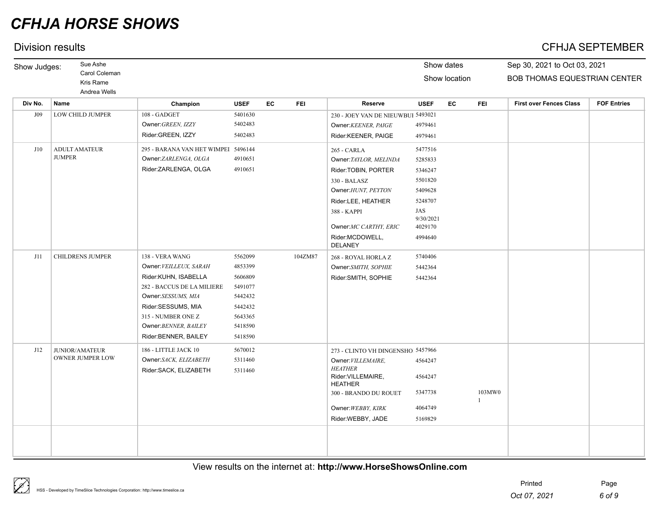## Division results CFHJA SEPTEMBER

| Show Judges: | Sue Ashe                                   |                                     |             |           |            |                                      |                  | Show dates    |              | Sep 30, 2021 to Oct 03, 2021   |                    |  |  |
|--------------|--------------------------------------------|-------------------------------------|-------------|-----------|------------|--------------------------------------|------------------|---------------|--------------|--------------------------------|--------------------|--|--|
|              | Carol Coleman<br>Kris Rame<br>Andrea Wells |                                     |             |           |            |                                      |                  | Show location |              | BOB THOMAS EQUESTRIAN CENTER   |                    |  |  |
| Div No.      | <b>Name</b>                                | Champion                            | <b>USEF</b> | <b>EC</b> | <b>FEI</b> | <b>Reserve</b>                       | <b>USEF</b>      | <b>EC</b>     | <b>FEI</b>   | <b>First over Fences Class</b> | <b>FOF Entries</b> |  |  |
| J09          | LOW CHILD JUMPER                           | 108 - GADGET                        | 5401630     |           |            | 230 - JOEY VAN DE NIEUWBUI 5493021   |                  |               |              |                                |                    |  |  |
|              |                                            | Owner: GREEN, IZZY                  | 5402483     |           |            | Owner: KEENER, PAIGE                 | 4979461          |               |              |                                |                    |  |  |
|              |                                            | Rider:GREEN, IZZY                   | 5402483     |           |            | Rider:KEENER, PAIGE                  | 4979461          |               |              |                                |                    |  |  |
| J10          | <b>ADULT AMATEUR</b>                       | 295 - BARANA VAN HET WIMPEI 5496144 |             |           |            | 265 - CARLA                          | 5477516          |               |              |                                |                    |  |  |
|              | <b>JUMPER</b>                              | Owner:ZARLENGA, OLGA                | 4910651     |           |            | Owner: TAYLOR, MELINDA               | 5285833          |               |              |                                |                    |  |  |
|              |                                            | Rider:ZARLENGA, OLGA                | 4910651     |           |            | Rider:TOBIN, PORTER                  | 5346247          |               |              |                                |                    |  |  |
|              |                                            |                                     |             |           |            | 330 - BALASZ                         | 5501820          |               |              |                                |                    |  |  |
|              |                                            |                                     |             |           |            | Owner: HUNT, PEYTON                  | 5409628          |               |              |                                |                    |  |  |
|              |                                            |                                     |             |           |            | Rider:LEE, HEATHER                   | 5248707          |               |              |                                |                    |  |  |
|              |                                            |                                     |             |           |            | 388 - KAPPI                          | JAS<br>9/30/2021 |               |              |                                |                    |  |  |
|              |                                            |                                     |             |           |            | Owner:MC CARTHY, ERIC                | 4029170          |               |              |                                |                    |  |  |
|              |                                            |                                     |             |           |            | Rider:MCDOWELL,<br><b>DELANEY</b>    | 4994640          |               |              |                                |                    |  |  |
| J11          | <b>CHILDRENS JUMPER</b>                    | 138 - VERA WANG                     | 5562099     |           | 104ZM87    | 268 - ROYAL HORLAZ                   | 5740406          |               |              |                                |                    |  |  |
|              |                                            | Owner: VEILLEUX, SARAH              | 4853399     |           |            | Owner:SMITH, SOPHIE                  | 5442364          |               |              |                                |                    |  |  |
|              |                                            | Rider:KUHN, ISABELLA                | 5606809     |           |            | Rider:SMITH, SOPHIE                  | 5442364          |               |              |                                |                    |  |  |
|              |                                            | 282 - BACCUS DE LA MILIERE          | 5491077     |           |            |                                      |                  |               |              |                                |                    |  |  |
|              |                                            | Owner:SESSUMS, MIA                  | 5442432     |           |            |                                      |                  |               |              |                                |                    |  |  |
|              |                                            | Rider:SESSUMS, MIA                  | 5442432     |           |            |                                      |                  |               |              |                                |                    |  |  |
|              |                                            | 315 - NUMBER ONE Z                  | 5643365     |           |            |                                      |                  |               |              |                                |                    |  |  |
|              |                                            | Owner: BENNER, BAILEY               | 5418590     |           |            |                                      |                  |               |              |                                |                    |  |  |
|              |                                            | Rider:BENNER, BAILEY                | 5418590     |           |            |                                      |                  |               |              |                                |                    |  |  |
| J12          | <b>JUNIOR/AMATEUR</b>                      | 186 - LITTLE JACK 10                | 5670012     |           |            | 273 - CLINTO VH DINGENSHO 5457966    |                  |               |              |                                |                    |  |  |
|              | OWNER JUMPER LOW                           | Owner:SACK, ELIZABETH               | 5311460     |           |            | Owner: VILLEMAIRE,                   | 4564247          |               |              |                                |                    |  |  |
|              |                                            | Rider:SACK, ELIZABETH               | 5311460     |           |            | <b>HEATHER</b><br>Rider: VILLEMAIRE, | 4564247          |               |              |                                |                    |  |  |
|              |                                            |                                     |             |           |            | <b>HEATHER</b>                       |                  |               |              |                                |                    |  |  |
|              |                                            |                                     |             |           |            | 300 - BRANDO DU ROUET                | 5347738          |               | 103MW0       |                                |                    |  |  |
|              |                                            |                                     |             |           |            | Owner: WEBBY, KIRK                   | 4064749          |               | $\mathbf{1}$ |                                |                    |  |  |
|              |                                            |                                     |             |           |            | Rider:WEBBY, JADE                    | 5169829          |               |              |                                |                    |  |  |
|              |                                            |                                     |             |           |            |                                      |                  |               |              |                                |                    |  |  |
|              |                                            |                                     |             |           |            |                                      |                  |               |              |                                |                    |  |  |
|              |                                            |                                     |             |           |            |                                      |                  |               |              |                                |                    |  |  |
|              |                                            |                                     |             |           |            |                                      |                  |               |              |                                |                    |  |  |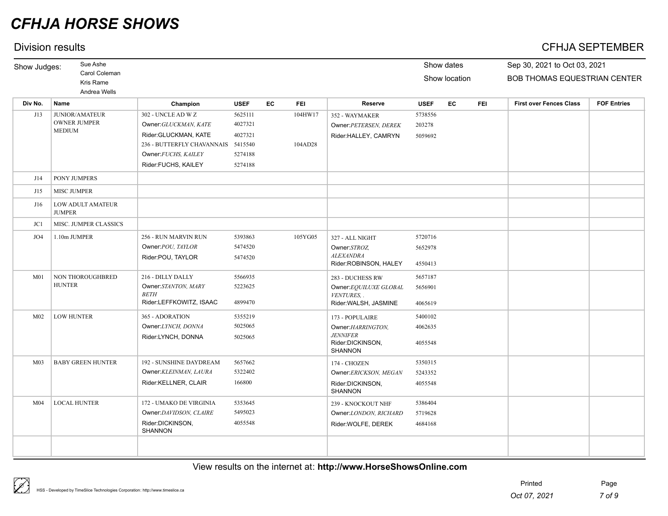## Division results CFHJA SEPTEMBER

| Show Judges:    | Sue Ashe                           |                                    |             |    |            |                                      |             | Show dates    |            | Sep 30, 2021 to Oct 03, 2021   |                    |  |
|-----------------|------------------------------------|------------------------------------|-------------|----|------------|--------------------------------------|-------------|---------------|------------|--------------------------------|--------------------|--|
|                 | Carol Coleman                      |                                    |             |    |            |                                      |             | Show location |            | BOB THOMAS EQUESTRIAN CENTER   |                    |  |
|                 | Kris Rame<br>Andrea Wells          |                                    |             |    |            |                                      |             |               |            |                                |                    |  |
| Div No.         | Name                               | Champion                           | <b>USEF</b> | EC | <b>FEI</b> | <b>Reserve</b>                       | <b>USEF</b> | EC            | <b>FEI</b> | <b>First over Fences Class</b> | <b>FOF Entries</b> |  |
| J13             | JUNIOR/AMATEUR                     | 302 - UNCLE AD W Z                 | 5625111     |    | 104HW17    | 352 - WAYMAKER                       | 5738556     |               |            |                                |                    |  |
|                 | <b>OWNER JUMPER</b>                | Owner: GLUCKMAN, KATE              | 4027321     |    |            | Owner: PETERSEN, DEREK               | 203278      |               |            |                                |                    |  |
|                 | <b>MEDIUM</b>                      | Rider:GLUCKMAN, KATE               | 4027321     |    |            | Rider:HALLEY, CAMRYN                 | 5059692     |               |            |                                |                    |  |
|                 |                                    | 236 - BUTTERFLY CHAVANNAIS 5415540 |             |    | 104AD28    |                                      |             |               |            |                                |                    |  |
|                 |                                    | Owner: FUCHS, KAILEY               | 5274188     |    |            |                                      |             |               |            |                                |                    |  |
|                 |                                    | Rider:FUCHS, KAILEY                | 5274188     |    |            |                                      |             |               |            |                                |                    |  |
| J14             | PONY JUMPERS                       |                                    |             |    |            |                                      |             |               |            |                                |                    |  |
| J15             | <b>MISC JUMPER</b>                 |                                    |             |    |            |                                      |             |               |            |                                |                    |  |
| J16             | LOW ADULT AMATEUR<br><b>JUMPER</b> |                                    |             |    |            |                                      |             |               |            |                                |                    |  |
| JC1             | MISC. JUMPER CLASSICS              |                                    |             |    |            |                                      |             |               |            |                                |                    |  |
| JO4             | 1.10m JUMPER                       | 256 - RUN MARVIN RUN               | 5393863     |    | 105YG05    | 327 - ALL NIGHT                      | 5720716     |               |            |                                |                    |  |
|                 |                                    | Owner: POU, TAYLOR                 | 5474520     |    |            | Owner:STROZ,                         | 5652978     |               |            |                                |                    |  |
|                 |                                    | Rider:POU, TAYLOR                  | 5474520     |    |            | <b>ALEXANDRA</b>                     |             |               |            |                                |                    |  |
|                 |                                    |                                    |             |    |            | Rider:ROBINSON, HALEY                | 4550413     |               |            |                                |                    |  |
| M <sub>01</sub> | NON THOROUGHBRED                   | 216 - DILLY DALLY                  | 5566935     |    |            | 283 - DUCHESS RW                     | 5657187     |               |            |                                |                    |  |
|                 | <b>HUNTER</b>                      | Owner:STANTON, MARY<br><b>BETH</b> | 5223625     |    |            | Owner:EQUILUXE GLOBAL                | 5656901     |               |            |                                |                    |  |
|                 |                                    | Rider:LEFFKOWITZ, ISAAC            | 4899470     |    |            | VENTURES, .<br>Rider: WALSH, JASMINE | 4065619     |               |            |                                |                    |  |
| M <sub>02</sub> | <b>LOW HUNTER</b>                  | 365 - ADORATION                    | 5355219     |    |            | 173 - POPULAIRE                      | 5400102     |               |            |                                |                    |  |
|                 |                                    | Owner:LYNCH, DONNA                 | 5025065     |    |            | Owner: HARRINGTON,                   | 4062635     |               |            |                                |                    |  |
|                 |                                    | Rider:LYNCH, DONNA                 | 5025065     |    |            | <b>JENNIFER</b>                      |             |               |            |                                |                    |  |
|                 |                                    |                                    |             |    |            | Rider:DICKINSON,<br><b>SHANNON</b>   | 4055548     |               |            |                                |                    |  |
| M <sub>03</sub> | <b>BABY GREEN HUNTER</b>           | 192 - SUNSHINE DAYDREAM            | 5657662     |    |            | 174 - CHOZEN                         | 5350315     |               |            |                                |                    |  |
|                 |                                    | Owner: KLEINMAN, LAURA             | 5322402     |    |            | Owner:ERICKSON, MEGAN                | 5243352     |               |            |                                |                    |  |
|                 |                                    | Rider:KELLNER, CLAIR               | 166800      |    |            | Rider:DICKINSON,<br><b>SHANNON</b>   | 4055548     |               |            |                                |                    |  |
| M <sub>04</sub> | <b>LOCAL HUNTER</b>                | 172 - UMAKO DE VIRGINIA            | 5353645     |    |            | 239 - KNOCKOUT NHF                   | 5386404     |               |            |                                |                    |  |
|                 |                                    | Owner:DAVIDSON, CLAIRE             | 5495023     |    |            | Owner:LONDON, RICHARD                | 5719628     |               |            |                                |                    |  |
|                 |                                    | Rider:DICKINSON,<br><b>SHANNON</b> | 4055548     |    |            | Rider: WOLFE, DEREK                  | 4684168     |               |            |                                |                    |  |
|                 |                                    |                                    |             |    |            |                                      |             |               |            |                                |                    |  |
|                 |                                    |                                    |             |    |            |                                      |             |               |            |                                |                    |  |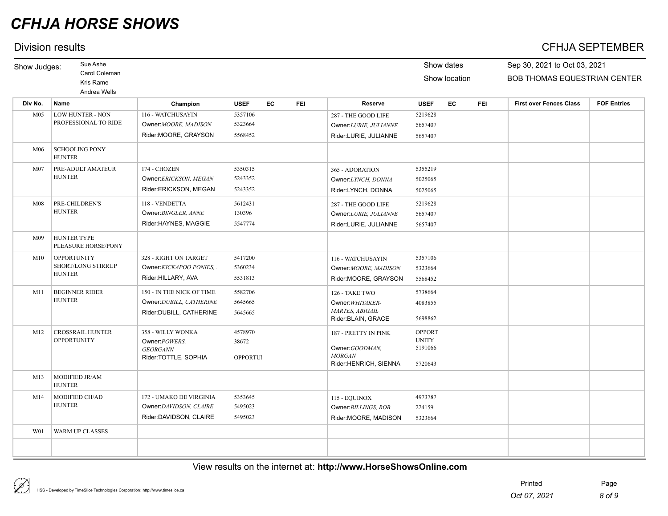## Division results CFHJA SEPTEMBER

| Show Judges:    | Sue Ashe                                      |                                     |                  |    |            |                                        |                               | Show dates    |            | Sep 30, 2021 to Oct 03, 2021        |                    |
|-----------------|-----------------------------------------------|-------------------------------------|------------------|----|------------|----------------------------------------|-------------------------------|---------------|------------|-------------------------------------|--------------------|
|                 | Carol Coleman                                 |                                     |                  |    |            |                                        |                               | Show location |            | <b>BOB THOMAS EQUESTRIAN CENTER</b> |                    |
|                 | Kris Rame<br>Andrea Wells                     |                                     |                  |    |            |                                        |                               |               |            |                                     |                    |
| Div No.         | Name                                          | Champion                            | <b>USEF</b>      | EC | <b>FEI</b> | <b>Reserve</b>                         | <b>USEF</b>                   | EC            | <b>FEI</b> | <b>First over Fences Class</b>      | <b>FOF Entries</b> |
| M <sub>05</sub> | LOW HUNTER - NON                              | 116 - WATCHUSAYIN                   | 5357106          |    |            | 287 - THE GOOD LIFE                    | 5219628                       |               |            |                                     |                    |
|                 | PROFESSIONAL TO RIDE                          | Owner: MOORE, MADISON               | 5323664          |    |            | Owner:LURIE, JULIANNE                  | 5657407                       |               |            |                                     |                    |
|                 |                                               | Rider:MOORE, GRAYSON                | 5568452          |    |            | Rider:LURIE, JULIANNE                  | 5657407                       |               |            |                                     |                    |
| M06             | <b>SCHOOLING PONY</b><br><b>HUNTER</b>        |                                     |                  |    |            |                                        |                               |               |            |                                     |                    |
| M <sub>07</sub> | PRE-ADULT AMATEUR                             | 174 - CHOZEN                        | 5350315          |    |            | 365 - ADORATION                        | 5355219                       |               |            |                                     |                    |
|                 | <b>HUNTER</b>                                 | Owner:ERICKSON, MEGAN               | 5243352          |    |            | Owner:LYNCH, DONNA                     | 5025065                       |               |            |                                     |                    |
|                 |                                               | Rider:ERICKSON, MEGAN               | 5243352          |    |            | Rider:LYNCH, DONNA                     | 5025065                       |               |            |                                     |                    |
| M08             | PRE-CHILDREN'S                                | 118 - VENDETTA                      | 5612431          |    |            | 287 - THE GOOD LIFE                    | 5219628                       |               |            |                                     |                    |
|                 | <b>HUNTER</b>                                 | Owner: BINGLER, ANNE                | 130396           |    |            | Owner:LURIE, JULIANNE                  | 5657407                       |               |            |                                     |                    |
|                 |                                               | Rider:HAYNES, MAGGIE                | 5547774          |    |            | Rider:LURIE, JULIANNE                  | 5657407                       |               |            |                                     |                    |
| M09             | HUNTER TYPE<br>PLEASURE HORSE/PONY            |                                     |                  |    |            |                                        |                               |               |            |                                     |                    |
| M10             | <b>OPPORTUNITY</b><br>SHORT/LONG STIRRUP      | 328 - RIGHT ON TARGET               | 5417200          |    |            | 116 - WATCHUSAYIN                      | 5357106                       |               |            |                                     |                    |
|                 |                                               | Owner:KICKAPOO PONIES,              | 5360234          |    |            | Owner: MOORE, MADISON                  | 5323664                       |               |            |                                     |                    |
|                 | <b>HUNTER</b>                                 | Rider: HILLARY, AVA                 | 5531813          |    |            | Rider:MOORE, GRAYSON                   | 5568452                       |               |            |                                     |                    |
| M11             | <b>BEGINNER RIDER</b>                         | 150 - IN THE NICK OF TIME           | 5582706          |    |            | 126 - TAKE TWO                         | 5738664                       |               |            |                                     |                    |
|                 | <b>HUNTER</b>                                 | Owner: DUBILL, CATHERINE            | 5645665          |    |            | Owner: WHITAKER-                       | 4083855                       |               |            |                                     |                    |
|                 |                                               | Rider: DUBILL, CATHERINE            | 5645665          |    |            | MARTES, ABIGAIL<br>Rider: BLAIN, GRACE | 5698862                       |               |            |                                     |                    |
|                 |                                               |                                     |                  |    |            |                                        |                               |               |            |                                     |                    |
| M12             | <b>CROSSRAIL HUNTER</b><br><b>OPPORTUNITY</b> | 358 - WILLY WONKA<br>Owner: POWERS, | 4578970<br>38672 |    |            | 187 - PRETTY IN PINK                   | <b>OPPORT</b><br><b>UNITY</b> |               |            |                                     |                    |
|                 |                                               | <b>GEORGANN</b>                     |                  |    |            | Owner:GOODMAN,                         | 5191066                       |               |            |                                     |                    |
|                 |                                               | Rider:TOTTLE, SOPHIA                | <b>OPPORTUI</b>  |    |            | <b>MORGAN</b><br>Rider:HENRICH, SIENNA | 5720643                       |               |            |                                     |                    |
|                 |                                               |                                     |                  |    |            |                                        |                               |               |            |                                     |                    |
| M13             | MODIFIED JR/AM<br><b>HUNTER</b>               |                                     |                  |    |            |                                        |                               |               |            |                                     |                    |
| M14             | MODIFIED CH/AD                                | 172 - UMAKO DE VIRGINIA             | 5353645          |    |            | 115 - EQUINOX                          | 4973787                       |               |            |                                     |                    |
|                 | <b>HUNTER</b>                                 | Owner:DAVIDSON, CLAIRE              | 5495023          |    |            | Owner: BILLINGS, ROB                   | 224159                        |               |            |                                     |                    |
|                 |                                               | Rider:DAVIDSON, CLAIRE              | 5495023          |    |            | Rider:MOORE, MADISON                   | 5323664                       |               |            |                                     |                    |
| W <sub>01</sub> | WARM UP CLASSES                               |                                     |                  |    |            |                                        |                               |               |            |                                     |                    |
|                 |                                               |                                     |                  |    |            |                                        |                               |               |            |                                     |                    |
|                 |                                               |                                     |                  |    |            |                                        |                               |               |            |                                     |                    |